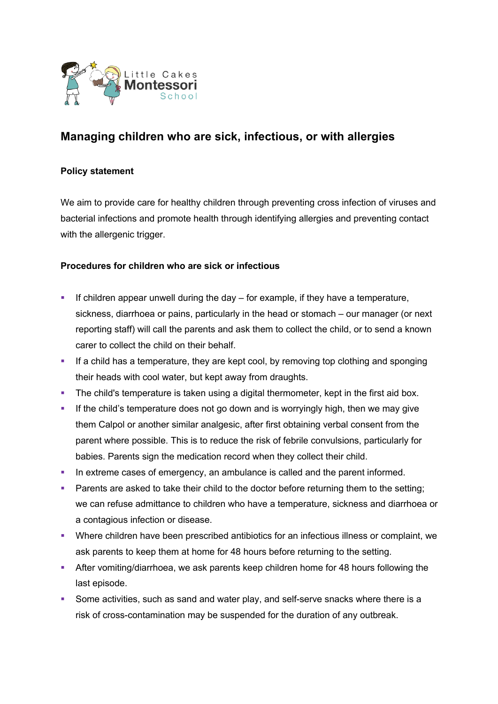

# **Managing children who are sick, infectious, or with allergies**

# **Policy statement**

We aim to provide care for healthy children through preventing cross infection of viruses and bacterial infections and promote health through identifying allergies and preventing contact with the allergenic trigger.

### **Procedures for children who are sick or infectious**

- **•** If children appear unwell during the day  $-$  for example, if they have a temperature, sickness, diarrhoea or pains, particularly in the head or stomach – our manager (or next reporting staff) will call the parents and ask them to collect the child, or to send a known carer to collect the child on their behalf.
- If a child has a temperature, they are kept cool, by removing top clothing and sponging their heads with cool water, but kept away from draughts.
- The child's temperature is taken using a digital thermometer, kept in the first aid box.
- **•** If the child's temperature does not go down and is worryingly high, then we may give them Calpol or another similar analgesic, after first obtaining verbal consent from the parent where possible. This is to reduce the risk of febrile convulsions, particularly for babies. Parents sign the medication record when they collect their child.
- In extreme cases of emergency, an ambulance is called and the parent informed.
- **Parents are asked to take their child to the doctor before returning them to the setting;** we can refuse admittance to children who have a temperature, sickness and diarrhoea or a contagious infection or disease.
- Where children have been prescribed antibiotics for an infectious illness or complaint, we ask parents to keep them at home for 48 hours before returning to the setting.
- **•** After vomiting/diarrhoea, we ask parents keep children home for 48 hours following the last episode.
- Some activities, such as sand and water play, and self-serve snacks where there is a risk of cross-contamination may be suspended for the duration of any outbreak.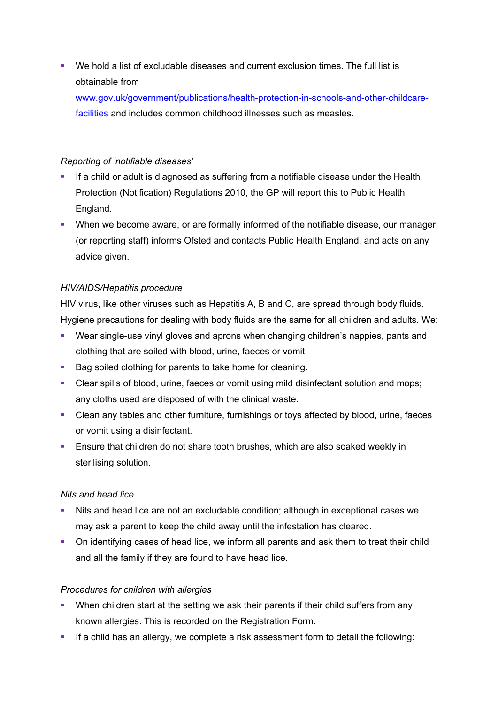§ We hold a list of excludable diseases and current exclusion times. The full list is obtainable from

www.gov.uk/government/publications/health-protection-in-schools-and-other-childcarefacilities and includes common childhood illnesses such as measles.

# *Reporting of 'notifiable diseases'*

- If a child or adult is diagnosed as suffering from a notifiable disease under the Health Protection (Notification) Regulations 2010, the GP will report this to Public Health England.
- When we become aware, or are formally informed of the notifiable disease, our manager (or reporting staff) informs Ofsted and contacts Public Health England, and acts on any advice given.

# *HIV/AIDS/Hepatitis procedure*

HIV virus, like other viruses such as Hepatitis A, B and C, are spread through body fluids. Hygiene precautions for dealing with body fluids are the same for all children and adults. We:

- § Wear single-use vinyl gloves and aprons when changing children's nappies, pants and clothing that are soiled with blood, urine, faeces or vomit.
- Bag soiled clothing for parents to take home for cleaning.
- Clear spills of blood, urine, faeces or vomit using mild disinfectant solution and mops; any cloths used are disposed of with the clinical waste.
- Clean any tables and other furniture, furnishings or toys affected by blood, urine, faeces or vomit using a disinfectant.
- **Ensure that children do not share tooth brushes, which are also soaked weekly in** sterilising solution.

### *Nits and head lice*

- Nits and head lice are not an excludable condition; although in exceptional cases we may ask a parent to keep the child away until the infestation has cleared.
- On identifying cases of head lice, we inform all parents and ask them to treat their child and all the family if they are found to have head lice.

### *Procedures for children with allergies*

- When children start at the setting we ask their parents if their child suffers from any known allergies. This is recorded on the Registration Form.
- **•** If a child has an allergy, we complete a risk assessment form to detail the following: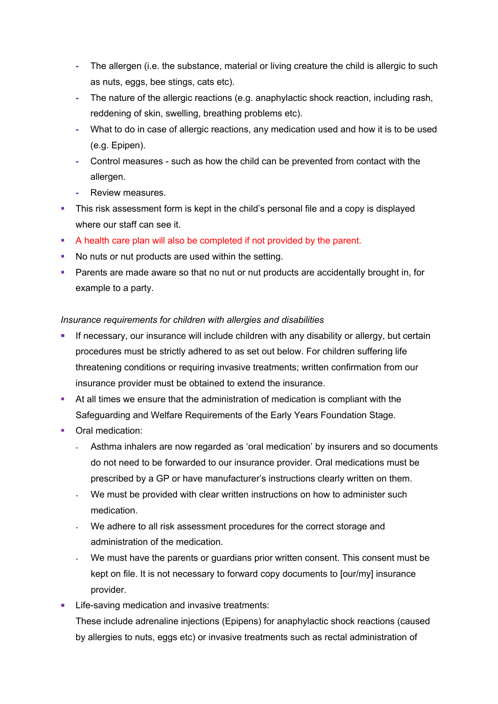- **-** The allergen (i.e. the substance, material or living creature the child is allergic to such as nuts, eggs, bee stings, cats etc).
- **-** The nature of the allergic reactions (e.g. anaphylactic shock reaction, including rash, reddening of skin, swelling, breathing problems etc).
- **-** What to do in case of allergic reactions, any medication used and how it is to be used (e.g. Epipen).
- **-** Control measures such as how the child can be prevented from contact with the allergen.
- **-** Review measures.
- This risk assessment form is kept in the child's personal file and a copy is displayed where our staff can see it.
- § A health care plan will also be completed if not provided by the parent.
- No nuts or nut products are used within the setting.
- Parents are made aware so that no nut or nut products are accidentally brought in, for example to a party.

### *Insurance requirements for children with allergies and disabilities*

- If necessary, our insurance will include children with any disability or allergy, but certain procedures must be strictly adhered to as set out below. For children suffering life threatening conditions or requiring invasive treatments; written confirmation from our insurance provider must be obtained to extend the insurance.
- § At all times we ensure that the administration of medication is compliant with the Safeguarding and Welfare Requirements of the Early Years Foundation Stage.
- Oral medication:
	- **-** Asthma inhalers are now regarded as 'oral medication' by insurers and so documents do not need to be forwarded to our insurance provider. Oral medications must be prescribed by a GP or have manufacturer's instructions clearly written on them.
	- **-** We must be provided with clear written instructions on how to administer such medication.
	- **-** We adhere to all risk assessment procedures for the correct storage and administration of the medication.
	- **-** We must have the parents or guardians prior written consent. This consent must be kept on file. It is not necessary to forward copy documents to [our/my] insurance provider.
- Life-saving medication and invasive treatments:

These include adrenaline injections (Epipens) for anaphylactic shock reactions (caused by allergies to nuts, eggs etc) or invasive treatments such as rectal administration of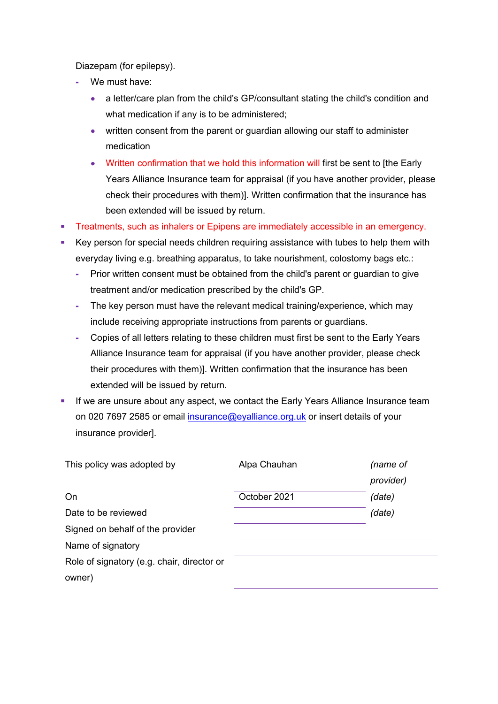Diazepam (for epilepsy).

- **-** We must have:
	- a letter/care plan from the child's GP/consultant stating the child's condition and what medication if any is to be administered;
	- written consent from the parent or guardian allowing our staff to administer medication
	- Written confirmation that we hold this information will first be sent to [the Early Years Alliance Insurance team for appraisal (if you have another provider, please check their procedures with them)]. Written confirmation that the insurance has been extended will be issued by return.
- **Treatments, such as inhalers or Epipens are immediately accessible in an emergency.**
- Key person for special needs children requiring assistance with tubes to help them with everyday living e.g. breathing apparatus, to take nourishment, colostomy bags etc.:
	- **-** Prior written consent must be obtained from the child's parent or guardian to give treatment and/or medication prescribed by the child's GP.
	- **-** The key person must have the relevant medical training/experience, which may include receiving appropriate instructions from parents or guardians.
	- **-** Copies of all letters relating to these children must first be sent to the Early Years Alliance Insurance team for appraisal (if you have another provider, please check their procedures with them)]. Written confirmation that the insurance has been extended will be issued by return.
- **•** If we are unsure about any aspect, we contact the Early Years Alliance Insurance team on 020 7697 2585 or email insurance@evalliance.org.uk or insert details of your insurance provider].

| This policy was adopted by                 | Alpa Chauhan | (name of  |
|--------------------------------------------|--------------|-----------|
|                                            |              | provider) |
| On                                         | October 2021 | (date)    |
| Date to be reviewed                        |              | (date)    |
| Signed on behalf of the provider           |              |           |
| Name of signatory                          |              |           |
| Role of signatory (e.g. chair, director or |              |           |
| owner)                                     |              |           |